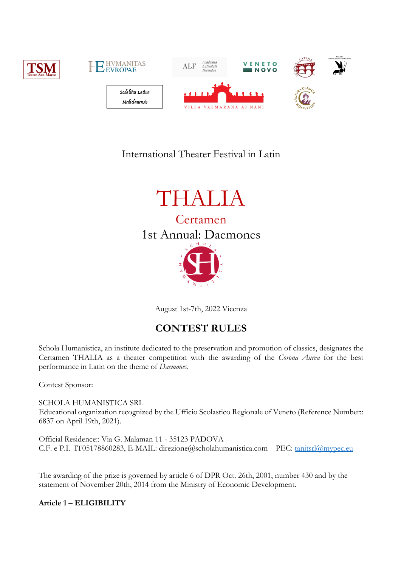

# International Theater Festival in Latin



August 1st-7th, 2022 Vicenza

## **CONTEST RULES**

Schola Humanistica, an institute dedicated to the preservation and promotion of classics, designates the Certamen THALIA as a theater competition with the awarding of the *Corona Aurea* for the best performance in Latin on the theme of *Daemones*.

Contest Sponsor:

SCHOLA HUMANISTICA SRL Educational organization recognized by the Ufficio Scolastico Regionale of Veneto (Reference Number:: 6837 on April 19th, 2021).

Official Residence:: Via G. Malaman 11 - 35123 PADOVA C.F. e P.I. IT05178860283, E-MAIL: direzione@scholahumanistica.com PEC: tanitsrl@mypec.eu

The awarding of the prize is governed by article 6 of DPR Oct. 26th, 2001, number 430 and by the statement of November 20th, 2014 from the Ministry of Economic Development.

**Article 1 – ELIGIBILITY**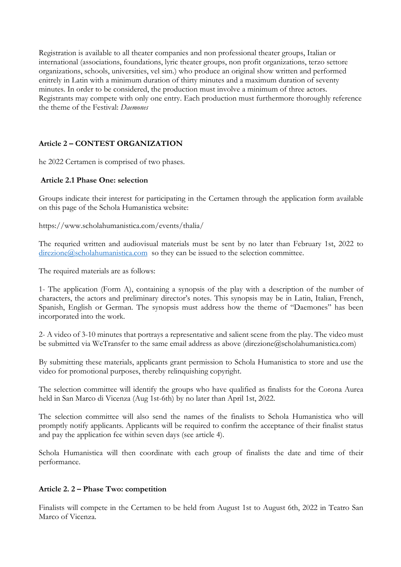Registration is available to all theater companies and non professional theater groups, Italian or international (associations, foundations, lyric theater groups, non profit organizations, terzo settore organizations, schools, universities, vel sim.) who produce an original show written and performed enitrely in Latin with a minimum duration of thirty minutes and a maximum duration of seventy minutes. In order to be considered, the production must involve a minimum of three actors. Registrants may compete with only one entry. Each production must furthermore thoroughly reference the theme of the Festival: *Daemones*

### **Article 2 – CONTEST ORGANIZATION**

he 2022 Certamen is comprised of two phases.

#### **Article 2.1 Phase One: selection**

Groups indicate their interest for participating in the Certamen through the application form available on this page of the Schola Humanistica website:

https://www.scholahumanistica.com/events/thalia/

The requried written and audiovisual materials must be sent by no later than February 1st, 2022 to direzione@scholahumanistica.com so they can be issued to the selection committee.

The required materials are as follows:

1- The application (Form A), containing a synopsis of the play with a description of the number of characters, the actors and preliminary director's notes. This synopsis may be in Latin, Italian, French, Spanish, English or German. The synopsis must address how the theme of "Daemones" has been incorporated into the work.

2- A video of 3-10 minutes that portrays a representative and salient scene from the play. The video must be submitted via WeTransfer to the same email address as above (direzione@scholahumanistica.com)

By submitting these materials, applicants grant permission to Schola Humanistica to store and use the video for promotional purposes, thereby relinquishing copyright.

The selection committee will identify the groups who have qualified as finalists for the Corona Aurea held in San Marco di Vicenza (Aug 1st-6th) by no later than April 1st, 2022.

The selection committee will also send the names of the finalists to Schola Humanistica who will promptly notify applicants. Applicants will be required to confirm the acceptance of their finalist status and pay the application fee within seven days (see article 4).

Schola Humanistica will then coordinate with each group of finalists the date and time of their performance.

#### **Article 2. 2 – Phase Two: competition**

Finalists will compete in the Certamen to be held from August 1st to August 6th, 2022 in Teatro San Marco of Vicenza.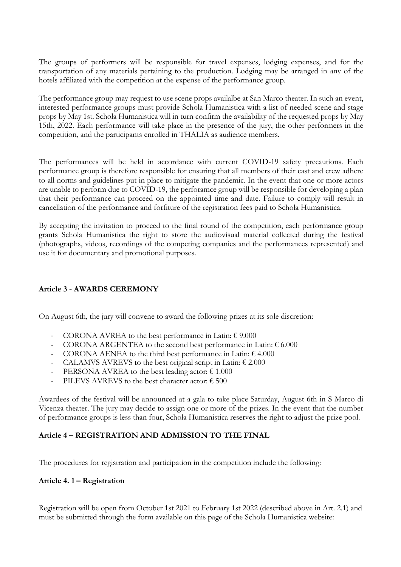The groups of performers will be responsible for travel expenses, lodging expenses, and for the transportation of any materials pertaining to the production. Lodging may be arranged in any of the hotels affiliated with the competition at the expense of the performance group.

The performance group may request to use scene props availalbe at San Marco theater. In such an event, interested performance groups must provide Schola Humanistica with a list of needed scene and stage props by May 1st. Schola Humanistica will in turn confirm the availability of the requested props by May 15th, 2022. Each performance will take place in the presence of the jury, the other performers in the competition, and the participants enrolled in THALIA as audience members.

The performances will be held in accordance with current COVID-19 safety precautions. Each performance group is therefore responsible for ensuring that all members of their cast and crew adhere to all norms and guidelines put in place to mitigate the pandemic. In the event that one or more actors are unable to perform due to COVID-19, the perforamce group will be responsible for developing a plan that their performance can proceed on the appointed time and date. Failure to comply will result in cancellation of the performance and forfiture of the registration fees paid to Schola Humanistica.

By accepting the invitation to proceed to the final round of the competition, each performance group grants Schola Humanistica the right to store the audiovisual material collected during the festival (photographs, videos, recordings of the competing companies and the performances represented) and use it for documentary and promotional purposes.

#### **Article 3 - AWARDS CEREMONY**

On August 6th, the jury will convene to award the following prizes at its sole discretion:

- CORONA AVREA to the best performance in Latin:  $\epsilon$  9.000
- CORONA ARGENTEA to the second best performance in Latin:  $\epsilon$  6.000
- CORONA AENEA to the third best performance in Latin:  $\epsilon$  4.000
- CALAMVS AVREVS to the best original script in Latin:  $\epsilon$  2.000
- PERSONA AVREA to the best leading actor:  $\epsilon$  1.000
- PILEVS AVREVS to the best character actor:  $\epsilon$  500

Awardees of the festival will be announced at a gala to take place Saturday, August 6th in S Marco di Vicenza theater. The jury may decide to assign one or more of the prizes. In the event that the number of performance groups is less than four, Schola Humanistica reserves the right to adjust the prize pool.

#### **Article 4 – REGISTRATION AND ADMISSION TO THE FINAL**

The procedures for registration and participation in the competition include the following:

#### **Article 4. 1 – Registration**

Registration will be open from October 1st 2021 to February 1st 2022 (described above in Art. 2.1) and must be submitted through the form available on this page of the Schola Humanistica website: